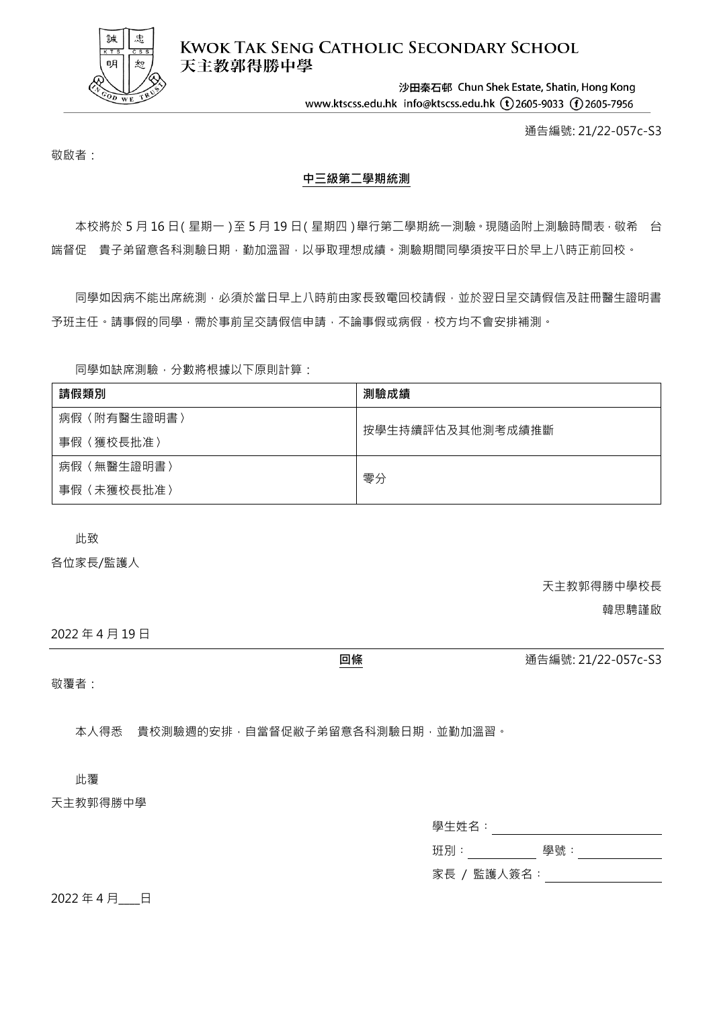

**KWOK TAK SENG CATHOLIC SECONDARY SCHOOL** 天主教郭得勝中學

> 沙田秦石邨 Chun Shek Estate, Shatin, Hong Kong www.ktscss.edu.hk info@ktscss.edu.hk (t)2605-9033 (f)2605-7956

> > 通告編號: 21/22-057c-S3

敬啟者:

## **中三級第二學期統測**

本校將於 5 月 16 日(星期一)至 5 月 19 日(星期四)舉行第二學期統一測驗,現隨函附上測驗時間表, 敬希 台 端督促 貴子弟留意各科測驗日期,勤加溫習,以爭取理想成績。測驗期間同學須按平日於早上八時正前回校。

同學如因病不能出席統測,必須於當日早上八時前由家長致電回校請假,並於翌日呈交請假信及註冊醫生證明書 予班主任。請事假的同學,需於事前呈交請假信申請,不論事假或病假,校方均不會安排補測。

同學如缺席測驗,分數將根據以下原則計算:

| 請假類別            | 測驗成績             |  |
|-----------------|------------------|--|
| (附有醫生證明書)<br>病假 | 按學生持續評估及其他測考成績推斷 |  |
| 〈獲校長批准〉<br>事假   |                  |  |
| (無醫生證明書)<br>病假  | 零分               |  |
| (未獲校長批准)<br>事假  |                  |  |

此致

各位家長/監護人

天主教郭得勝中學校長

韓思騁謹啟

2022 年 4 月 19 日

**回條** 通告編號: 21/22-057c-S3

敬覆者:

本人得悉 貴校測驗週的安排,自當督促敝子弟留意各科測驗日期,並勤加溫習。

此覆

天主教郭得勝中學

| 學生姓名:       |     |
|-------------|-----|
| 班別:         | 學號: |
| 家長 / 監護人簽名: |     |

2022年4月 日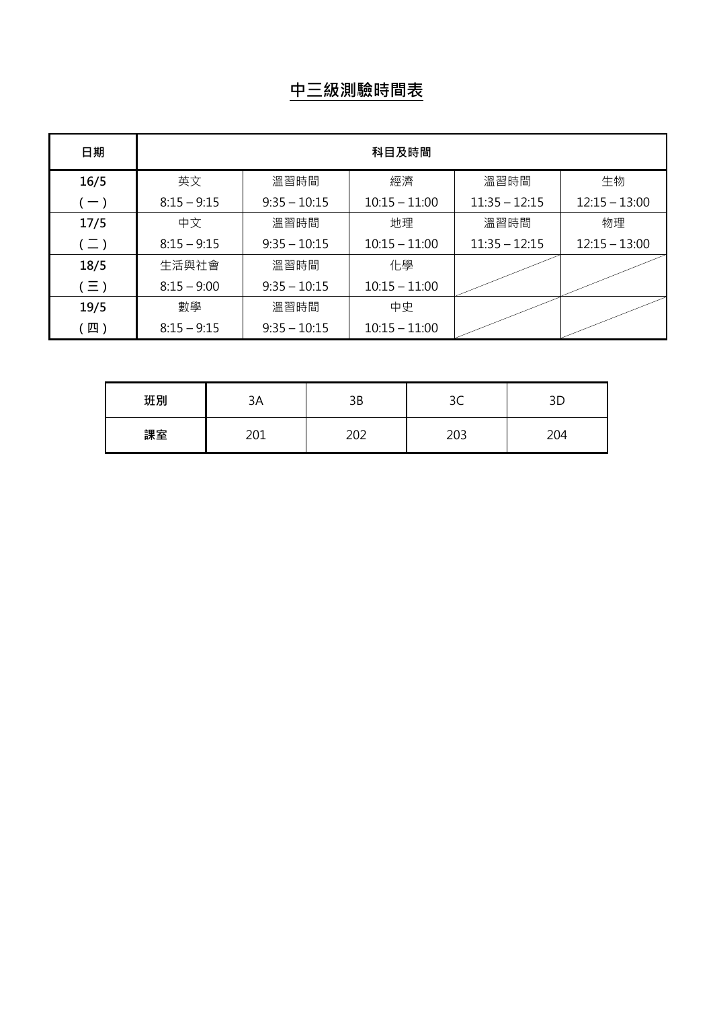## **中三級測驗時間表**

| 日期            | 科目及時間         |                |                 |                 |                 |
|---------------|---------------|----------------|-----------------|-----------------|-----------------|
| 16/5          | 英文            | 溫習時間           | 經濟              | 溫習時間            | 生物              |
| $(-)$         | $8:15 - 9:15$ | $9:35 - 10:15$ | $10:15 - 11:00$ | $11:35 - 12:15$ | $12:15 - 13:00$ |
| 17/5          | 中文            | 溫習時間           | 地理              | 溫習時間            | 物理              |
| $(\sqsupset)$ | $8:15 - 9:15$ | $9:35 - 10:15$ | $10:15 - 11:00$ | $11:35 - 12:15$ | $12:15 - 13:00$ |
| 18/5          | 生活與社會         | 溫習時間           | 化學              |                 |                 |
| $(\equiv)$    | $8:15 - 9:00$ | $9:35 - 10:15$ | $10:15 - 11:00$ |                 |                 |
| 19/5          | 數學            | 溫習時間           | 中史              |                 |                 |
| [四)           | $8:15 - 9:15$ | $9:35 - 10:15$ | $10:15 - 11:00$ |                 |                 |

| 班別 | 3A         | 3B  | ົ<br>しし |     |
|----|------------|-----|---------|-----|
| 課室 | ากา<br>∠∪⊥ | 202 | 203     | 204 |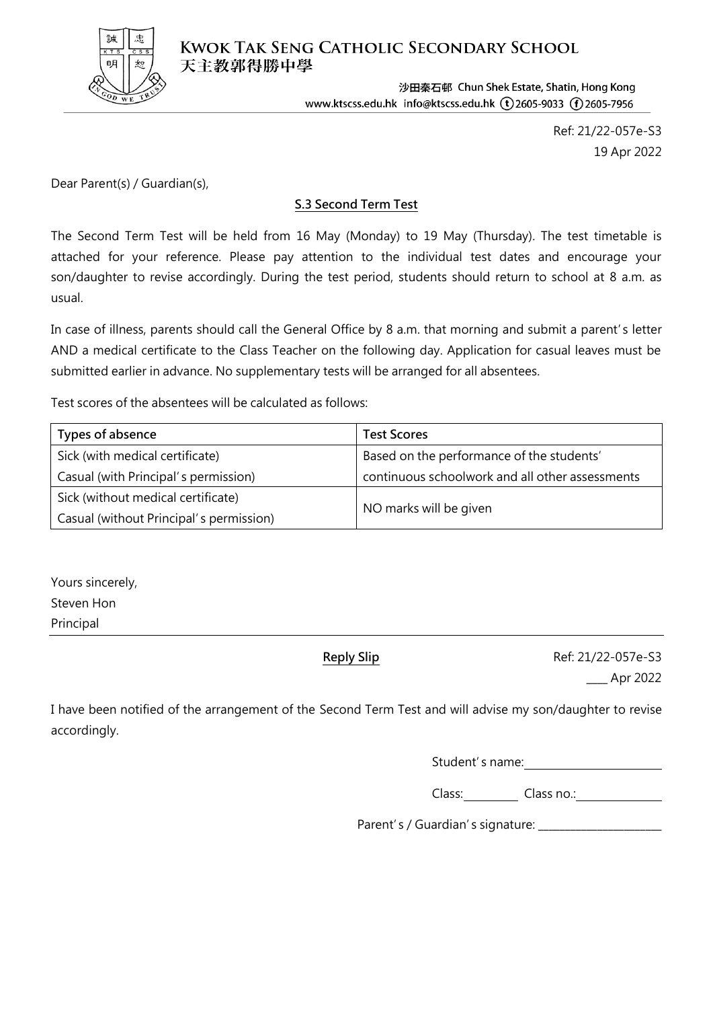

**KWOK TAK SENG CATHOLIC SECONDARY SCHOOL** 天主教郭得勝中學

> 沙田秦石邨 Chun Shek Estate, Shatin, Hong Kong www.ktscss.edu.hk info@ktscss.edu.hk (t)2605-9033 (f)2605-7956

> > Ref: 21/22-057e-S3 19 Apr 2022

Dear Parent(s) / Guardian(s),

## **S.3 Second Term Test**

The Second Term Test will be held from 16 May (Monday) to 19 May (Thursday). The test timetable is attached for your reference. Please pay attention to the individual test dates and encourage your son/daughter to revise accordingly. During the test period, students should return to school at 8 a.m. as usual.

In case of illness, parents should call the General Office by 8 a.m. that morning and submit a parent's letter AND a medical certificate to the Class Teacher on the following day. Application for casual leaves must be submitted earlier in advance. No supplementary tests will be arranged for all absentees.

Test scores of the absentees will be calculated as follows:

| Types of absence                        | <b>Test Scores</b>                              |
|-----------------------------------------|-------------------------------------------------|
| Sick (with medical certificate)         | Based on the performance of the students'       |
| Casual (with Principal's permission)    | continuous schoolwork and all other assessments |
| Sick (without medical certificate)      |                                                 |
| Casual (without Principal's permission) | NO marks will be given                          |

Yours sincerely, Steven Hon Principal

**Reply Slip** Ref: 21/22-057e-S3 \_\_\_\_ Apr 2022

I have been notified of the arrangement of the Second Term Test and will advise my son/daughter to revise accordingly.

Student's name:

Class: Class no.:

Parent's / Guardian's signature: \_\_\_\_\_\_\_\_\_\_\_\_\_\_\_\_\_\_\_\_\_\_\_